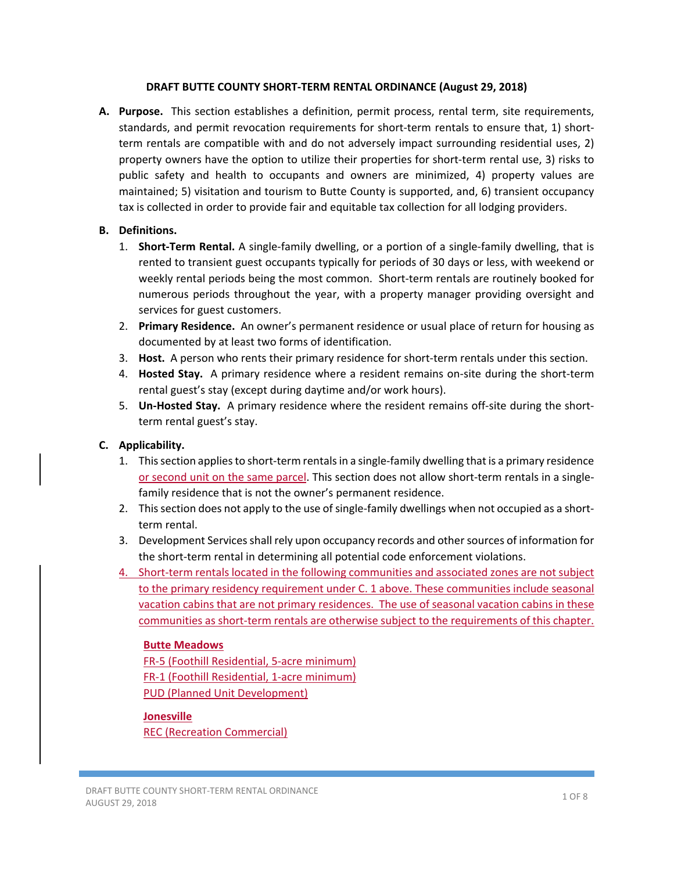#### **DRAFT BUTTE COUNTY SHORT‐TERM RENTAL ORDINANCE (August 29, 2018)**

**A. Purpose.** This section establishes a definition, permit process, rental term, site requirements, standards, and permit revocation requirements for short-term rentals to ensure that, 1) shortterm rentals are compatible with and do not adversely impact surrounding residential uses, 2) property owners have the option to utilize their properties for short-term rental use, 3) risks to public safety and health to occupants and owners are minimized, 4) property values are maintained; 5) visitation and tourism to Butte County is supported, and, 6) transient occupancy tax is collected in order to provide fair and equitable tax collection for all lodging providers.

# **B. Definitions.**

- 1. **Short-Term Rental.** A single-family dwelling, or a portion of a single-family dwelling, that is rented to transient guest occupants typically for periods of 30 days or less, with weekend or weekly rental periods being the most common. Short-term rentals are routinely booked for numerous periods throughout the year, with a property manager providing oversight and services for guest customers.
- 2. **Primary Residence.** An owner's permanent residence or usual place of return for housing as documented by at least two forms of identification.
- 3. Host. A person who rents their primary residence for short-term rentals under this section.
- 4. **Hosted Stay.** A primary residence where a resident remains on-site during the short-term rental guest's stay (except during daytime and/or work hours).
- 5. **Un-Hosted Stay.** A primary residence where the resident remains off-site during the shortterm rental guest's stay.

# **C. Applicability.**

- 1. This section applies to short‐term rentals in a single‐family dwelling that is a primary residence or second unit on the same parcel. This section does not allow short-term rentals in a singlefamily residence that is not the owner's permanent residence.
- 2. This section does not apply to the use of single-family dwellings when not occupied as a shortterm rental.
- 3. Development Services shall rely upon occupancy records and other sources of information for the short-term rental in determining all potential code enforcement violations.
- 4. Short-term rentals located in the following communities and associated zones are not subject to the primary residency requirement under C. 1 above. These communities include seasonal vacation cabins that are not primary residences. The use of seasonal vacation cabins in these communities as short-term rentals are otherwise subject to the requirements of this chapter.

# **Butte Meadows**

FR‐5 (Foothill Residential, 5‐acre minimum) FR‐1 (Foothill Residential, 1‐acre minimum) PUD (Planned Unit Development)

# **Jonesville**

REC (Recreation Commercial)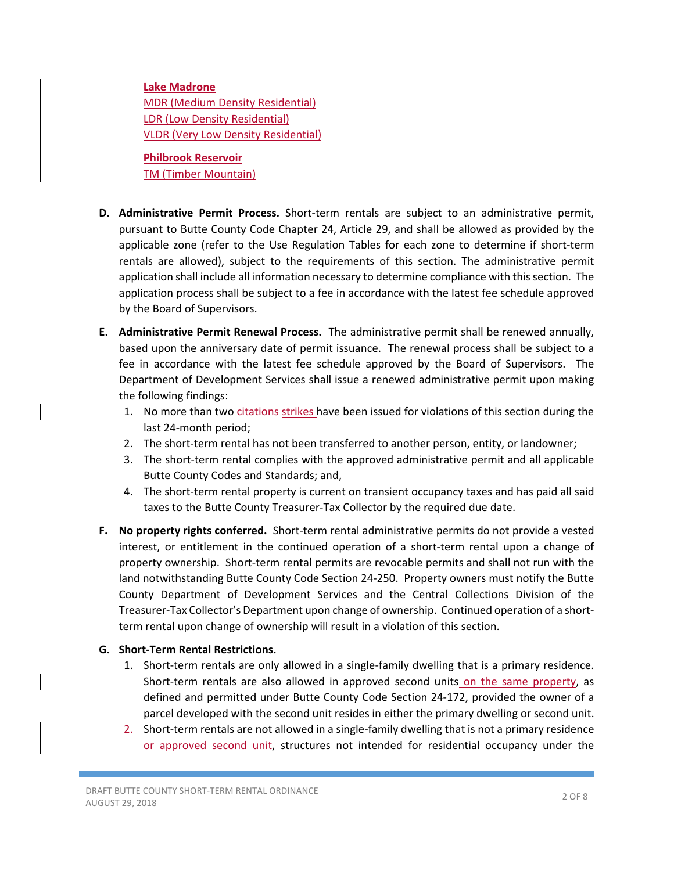#### **Lake Madrone**

MDR (Medium Density Residential) LDR (Low Density Residential) VLDR (Very Low Density Residential)

**Philbrook Reservoir**  TM (Timber Mountain)

- **D. Administrative Permit Process.** Short‐term rentals are subject to an administrative permit, pursuant to Butte County Code Chapter 24, Article 29, and shall be allowed as provided by the applicable zone (refer to the Use Regulation Tables for each zone to determine if short-term rentals are allowed), subject to the requirements of this section. The administrative permit application shall include all information necessary to determine compliance with this section. The application process shall be subject to a fee in accordance with the latest fee schedule approved by the Board of Supervisors.
- **E. Administrative Permit Renewal Process.** The administrative permit shall be renewed annually, based upon the anniversary date of permit issuance. The renewal process shall be subject to a fee in accordance with the latest fee schedule approved by the Board of Supervisors. The Department of Development Services shall issue a renewed administrative permit upon making the following findings:
	- 1. No more than two eitations-strikes have been issued for violations of this section during the last 24‐month period;
	- 2. The short-term rental has not been transferred to another person, entity, or landowner;
	- 3. The short-term rental complies with the approved administrative permit and all applicable Butte County Codes and Standards; and,
	- 4. The short-term rental property is current on transient occupancy taxes and has paid all said taxes to the Butte County Treasurer‐Tax Collector by the required due date.
- **F. No property rights conferred.** Short‐term rental administrative permits do not provide a vested interest, or entitlement in the continued operation of a short-term rental upon a change of property ownership. Short‐term rental permits are revocable permits and shall not run with the land notwithstanding Butte County Code Section 24‐250. Property owners must notify the Butte County Department of Development Services and the Central Collections Division of the Treasurer‐Tax Collector's Department upon change of ownership. Continued operation of a short‐ term rental upon change of ownership will result in a violation of this section.

#### **G. Short‐Term Rental Restrictions.**

- 1. Short-term rentals are only allowed in a single-family dwelling that is a primary residence. Short-term rentals are also allowed in approved second units on the same property, as defined and permitted under Butte County Code Section 24‐172, provided the owner of a parcel developed with the second unit resides in either the primary dwelling or second unit.
- 2. Short-term rentals are not allowed in a single-family dwelling that is not a primary residence or approved second unit, structures not intended for residential occupancy under the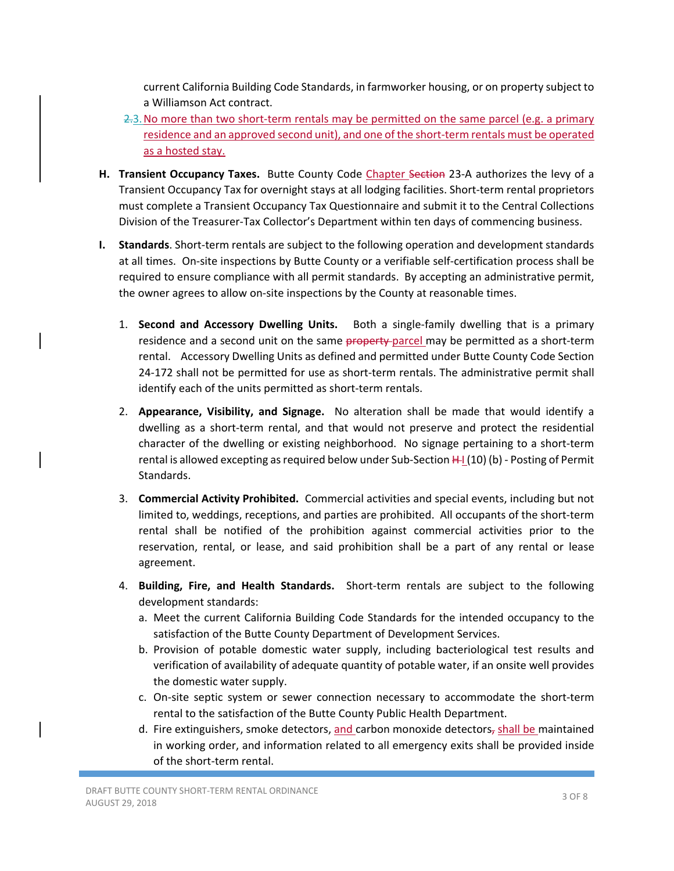current California Building Code Standards, in farmworker housing, or on property subject to a Williamson Act contract.

- 2.3. No more than two short-term rentals may be permitted on the same parcel (e.g. a primary residence and an approved second unit), and one of the short-term rentals must be operated as a hosted stay.
- **H. Transient Occupancy Taxes.** Butte County Code Chapter Section 23‐A authorizes the levy of a Transient Occupancy Tax for overnight stays at all lodging facilities. Short‐term rental proprietors must complete a Transient Occupancy Tax Questionnaire and submit it to the Central Collections Division of the Treasurer‐Tax Collector's Department within ten days of commencing business.
- **I.** Standards. Short-term rentals are subject to the following operation and development standards at all times. On‐site inspections by Butte County or a verifiable self‐certification process shall be required to ensure compliance with all permit standards. By accepting an administrative permit, the owner agrees to allow on‐site inspections by the County at reasonable times.
	- 1. **Second and Accessory Dwelling Units.** Both a single‐family dwelling that is a primary residence and a second unit on the same property-parcel may be permitted as a short-term rental. Accessory Dwelling Units as defined and permitted under Butte County Code Section 24-172 shall not be permitted for use as short-term rentals. The administrative permit shall identify each of the units permitted as short‐term rentals.
	- 2. **Appearance, Visibility, and Signage.** No alteration shall be made that would identify a dwelling as a short-term rental, and that would not preserve and protect the residential character of the dwelling or existing neighborhood. No signage pertaining to a short‐term rental is allowed excepting as required below under Sub-Section  $H(10)$  (b) - Posting of Permit Standards.
	- 3. **Commercial Activity Prohibited.** Commercial activities and special events, including but not limited to, weddings, receptions, and parties are prohibited. All occupants of the short‐term rental shall be notified of the prohibition against commercial activities prior to the reservation, rental, or lease, and said prohibition shall be a part of any rental or lease agreement.
	- 4. **Building, Fire, and Health Standards.** Short‐term rentals are subject to the following development standards:
		- a. Meet the current California Building Code Standards for the intended occupancy to the satisfaction of the Butte County Department of Development Services.
		- b. Provision of potable domestic water supply, including bacteriological test results and verification of availability of adequate quantity of potable water, if an onsite well provides the domestic water supply.
		- c. On‐site septic system or sewer connection necessary to accommodate the short‐term rental to the satisfaction of the Butte County Public Health Department.
		- d. Fire extinguishers, smoke detectors, and carbon monoxide detectors, shall be maintained in working order, and information related to all emergency exits shall be provided inside of the short‐term rental.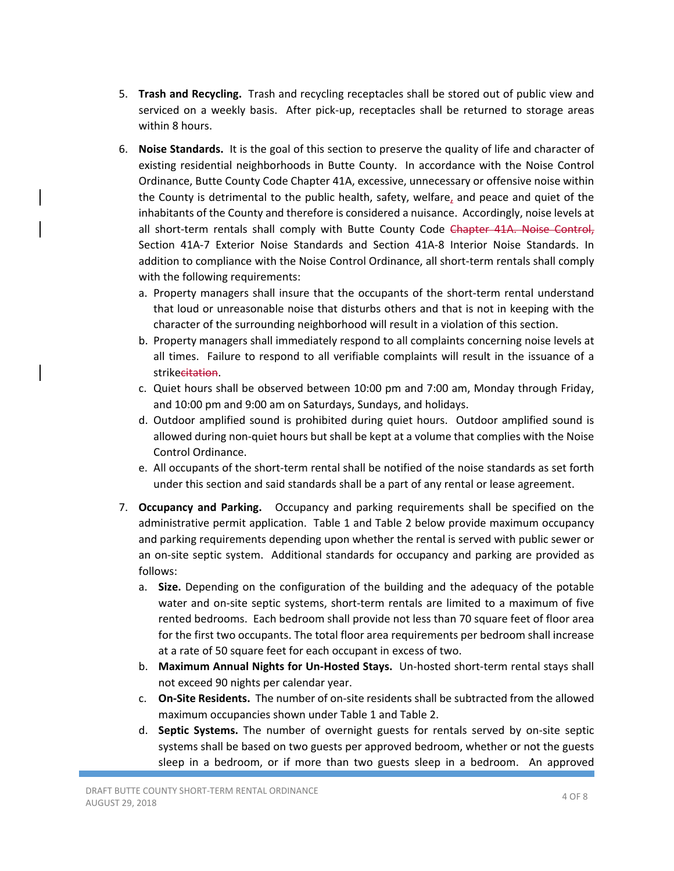- 5. **Trash and Recycling.** Trash and recycling receptacles shall be stored out of public view and serviced on a weekly basis. After pick-up, receptacles shall be returned to storage areas within 8 hours.
- 6. **Noise Standards.** It is the goal of this section to preserve the quality of life and character of existing residential neighborhoods in Butte County. In accordance with the Noise Control Ordinance, Butte County Code Chapter 41A, excessive, unnecessary or offensive noise within the County is detrimental to the public health, safety, welfare, and peace and quiet of the inhabitants of the County and therefore is considered a nuisance. Accordingly, noise levels at all short-term rentals shall comply with Butte County Code Chapter 41A. Noise Control, Section 41A‐7 Exterior Noise Standards and Section 41A‐8 Interior Noise Standards. In addition to compliance with the Noise Control Ordinance, all short‐term rentals shall comply with the following requirements:
	- a. Property managers shall insure that the occupants of the short-term rental understand that loud or unreasonable noise that disturbs others and that is not in keeping with the character of the surrounding neighborhood will result in a violation of this section.
	- b. Property managers shall immediately respond to all complaints concerning noise levels at all times. Failure to respond to all verifiable complaints will result in the issuance of a strikecitation.
	- c. Quiet hours shall be observed between 10:00 pm and 7:00 am, Monday through Friday, and 10:00 pm and 9:00 am on Saturdays, Sundays, and holidays.
	- d. Outdoor amplified sound is prohibited during quiet hours. Outdoor amplified sound is allowed during non‐quiet hours but shall be kept at a volume that complies with the Noise Control Ordinance.
	- e. All occupants of the short‐term rental shall be notified of the noise standards as set forth under this section and said standards shall be a part of any rental or lease agreement.
- 7. **Occupancy and Parking.** Occupancy and parking requirements shall be specified on the administrative permit application. Table 1 and Table 2 below provide maximum occupancy and parking requirements depending upon whether the rental is served with public sewer or an on‐site septic system. Additional standards for occupancy and parking are provided as follows:
	- a. **Size.** Depending on the configuration of the building and the adequacy of the potable water and on-site septic systems, short-term rentals are limited to a maximum of five rented bedrooms. Each bedroom shall provide not less than 70 square feet of floor area for the first two occupants. The total floor area requirements per bedroom shall increase at a rate of 50 square feet for each occupant in excess of two.
	- b. **Maximum Annual Nights for Un‐Hosted Stays.** Un‐hosted short‐term rental stays shall not exceed 90 nights per calendar year.
	- c. **On‐Site Residents.** The number of on‐site residents shall be subtracted from the allowed maximum occupancies shown under Table 1 and Table 2.
	- d. **Septic Systems.** The number of overnight guests for rentals served by on-site septic systems shall be based on two guests per approved bedroom, whether or not the guests sleep in a bedroom, or if more than two guests sleep in a bedroom. An approved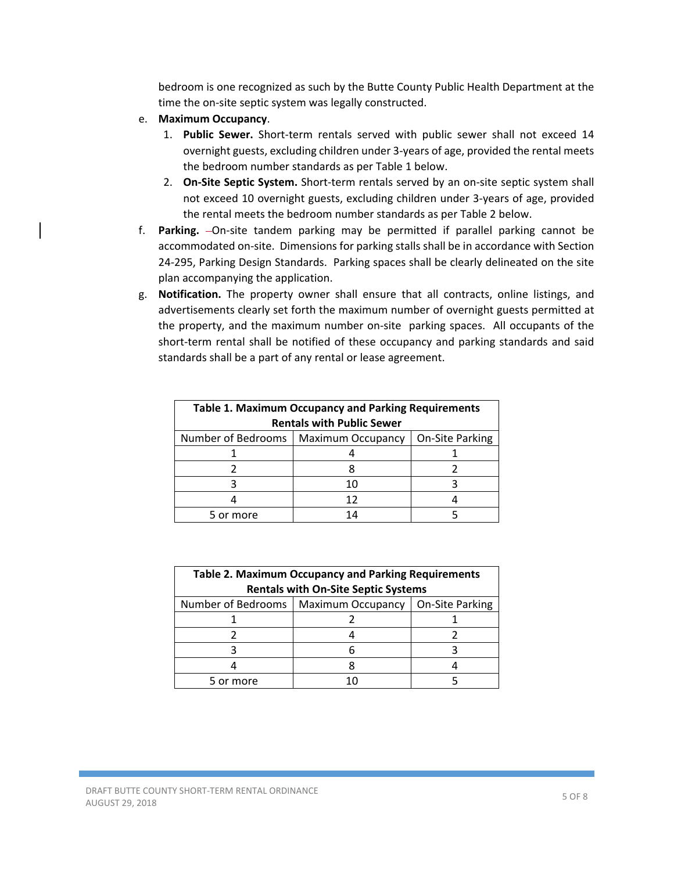bedroom is one recognized as such by the Butte County Public Health Department at the time the on-site septic system was legally constructed.

- e. **Maximum Occupancy**.
	- 1. **Public Sewer.** Short-term rentals served with public sewer shall not exceed 14 overnight guests, excluding children under 3‐years of age, provided the rental meets the bedroom number standards as per Table 1 below.
	- 2. **On‐Site Septic System.** Short‐term rentals served by an on‐site septic system shall not exceed 10 overnight guests, excluding children under 3‐years of age, provided the rental meets the bedroom number standards as per Table 2 below.
- f. **Parking.**  $-On$ -site tandem parking may be permitted if parallel parking cannot be accommodated on‐site. Dimensions for parking stalls shall be in accordance with Section 24-295, Parking Design Standards. Parking spaces shall be clearly delineated on the site plan accompanying the application.
- g. **Notification.**  The property owner shall ensure that all contracts, online listings, and advertisements clearly set forth the maximum number of overnight guests permitted at the property, and the maximum number on‐site parking spaces. All occupants of the short-term rental shall be notified of these occupancy and parking standards and said standards shall be a part of any rental or lease agreement.

| <b>Table 1. Maximum Occupancy and Parking Requirements</b> |                          |                 |  |
|------------------------------------------------------------|--------------------------|-----------------|--|
| <b>Rentals with Public Sewer</b>                           |                          |                 |  |
| Number of Bedrooms                                         | <b>Maximum Occupancy</b> | On-Site Parking |  |
|                                                            |                          |                 |  |
|                                                            |                          |                 |  |
|                                                            | 10                       |                 |  |
|                                                            | 12                       |                 |  |
| 5 or more                                                  | 14                       |                 |  |

| <b>Table 2. Maximum Occupancy and Parking Requirements</b><br><b>Rentals with On-Site Septic Systems</b> |                   |                 |  |
|----------------------------------------------------------------------------------------------------------|-------------------|-----------------|--|
| Number of Bedrooms                                                                                       | Maximum Occupancy | On-Site Parking |  |
|                                                                                                          |                   |                 |  |
|                                                                                                          |                   |                 |  |
|                                                                                                          |                   |                 |  |
|                                                                                                          |                   |                 |  |
| 5 or more                                                                                                |                   |                 |  |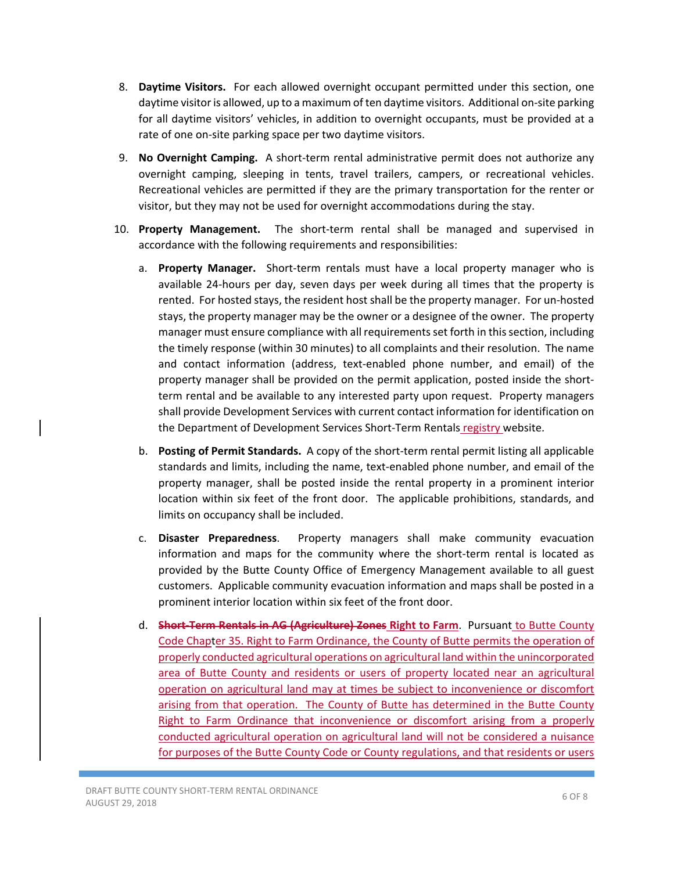- 8. **Daytime Visitors.** For each allowed overnight occupant permitted under this section, one daytime visitor is allowed, up to a maximum of ten daytime visitors. Additional on‐site parking for all daytime visitors' vehicles, in addition to overnight occupants, must be provided at a rate of one on-site parking space per two daytime visitors.
- 9. **No Overnight Camping.** A short-term rental administrative permit does not authorize any overnight camping, sleeping in tents, travel trailers, campers, or recreational vehicles. Recreational vehicles are permitted if they are the primary transportation for the renter or visitor, but they may not be used for overnight accommodations during the stay.
- 10. **Property Management.** The short-term rental shall be managed and supervised in accordance with the following requirements and responsibilities:
	- a. **Property Manager.** Short-term rentals must have a local property manager who is available 24-hours per day, seven days per week during all times that the property is rented. For hosted stays, the resident host shall be the property manager. For un‐hosted stays, the property manager may be the owner or a designee of the owner. The property manager must ensure compliance with all requirements set forth in this section, including the timely response (within 30 minutes) to all complaints and their resolution. The name and contact information (address, text-enabled phone number, and email) of the property manager shall be provided on the permit application, posted inside the short‐ term rental and be available to any interested party upon request. Property managers shall provide Development Services with current contact information for identification on the Department of Development Services Short-Term Rentals registry website.
	- b. **Posting of Permit Standards.** A copy of the short-term rental permit listing all applicable standards and limits, including the name, text‐enabled phone number, and email of the property manager, shall be posted inside the rental property in a prominent interior location within six feet of the front door. The applicable prohibitions, standards, and limits on occupancy shall be included.
	- c. **Disaster Preparedness**. Property managers shall make community evacuation information and maps for the community where the short-term rental is located as provided by the Butte County Office of Emergency Management available to all guest customers. Applicable community evacuation information and maps shall be posted in a prominent interior location within six feet of the front door.
	- d. **Short‐Term Rentals in AG (Agriculture) Zones Right to Farm**. Pursuant to Butte County Code Chapter 35. Right to Farm Ordinance, the County of Butte permits the operation of properly conducted agricultural operations on agricultural land within the unincorporated area of Butte County and residents or users of property located near an agricultural operation on agricultural land may at times be subject to inconvenience or discomfort arising from that operation. The County of Butte has determined in the Butte County Right to Farm Ordinance that inconvenience or discomfort arising from a properly conducted agricultural operation on agricultural land will not be considered a nuisance for purposes of the Butte County Code or County regulations, and that residents or users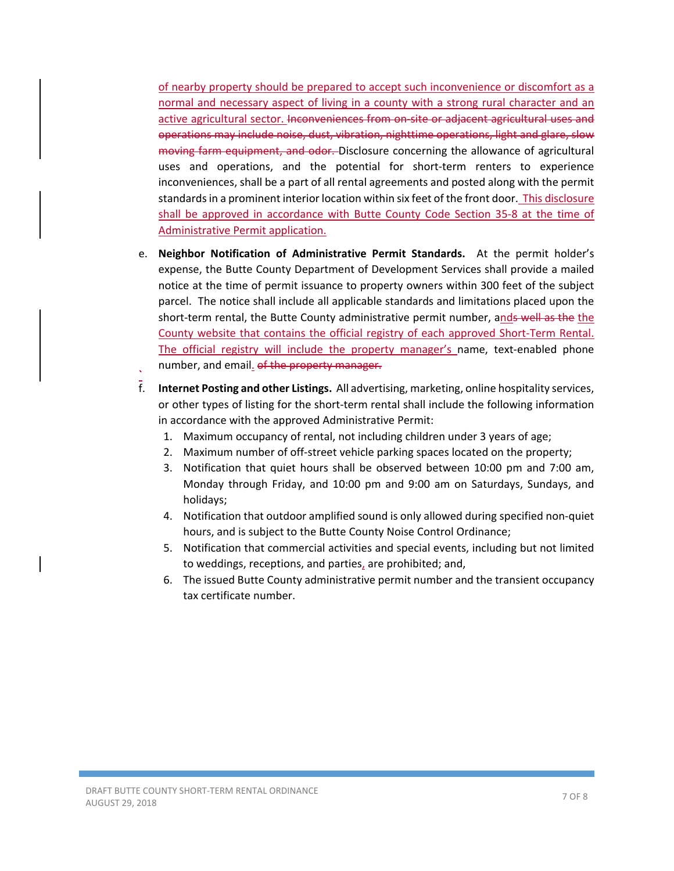of nearby property should be prepared to accept such inconvenience or discomfort as a normal and necessary aspect of living in a county with a strong rural character and an active agricultural sector. Inconveniences from on‐site or adjacent agricultural uses and operations may include noise, dust, vibration, nighttime operations, light and glare, slow moving farm equipment, and odor. Disclosure concerning the allowance of agricultural uses and operations, and the potential for short-term renters to experience inconveniences, shall be a part of all rental agreements and posted along with the permit standards in a prominent interior location within six feet of the front door. This disclosure shall be approved in accordance with Butte County Code Section 35-8 at the time of Administrative Permit application.

- e. Neighbor Notification of Administrative Permit Standards. At the permit holder's expense, the Butte County Department of Development Services shall provide a mailed notice at the time of permit issuance to property owners within 300 feet of the subject parcel. The notice shall include all applicable standards and limitations placed upon the short-term rental, the Butte County administrative permit number, ands well as the the County website that contains the official registry of each approved Short‐Term Rental. The official registry will include the property manager's name, text-enabled phone
- number, and email<u>.</u> of the property manager.<br> **F.** Internet Posting and other Listings. All adverti f. **Internet Posting and other Listings.** All advertising, marketing, online hospitality services, or other types of listing for the short-term rental shall include the following information in accordance with the approved Administrative Permit:
	- 1. Maximum occupancy of rental, not including children under 3 years of age;
	- 2. Maximum number of off‐street vehicle parking spaces located on the property;
	- 3. Notification that quiet hours shall be observed between 10:00 pm and 7:00 am, Monday through Friday, and 10:00 pm and 9:00 am on Saturdays, Sundays, and holidays;
	- 4. Notification that outdoor amplified sound is only allowed during specified non‐quiet hours, and is subject to the Butte County Noise Control Ordinance;
	- 5. Notification that commercial activities and special events, including but not limited to weddings, receptions, and parties, are prohibited; and,
	- 6. The issued Butte County administrative permit number and the transient occupancy tax certificate number.